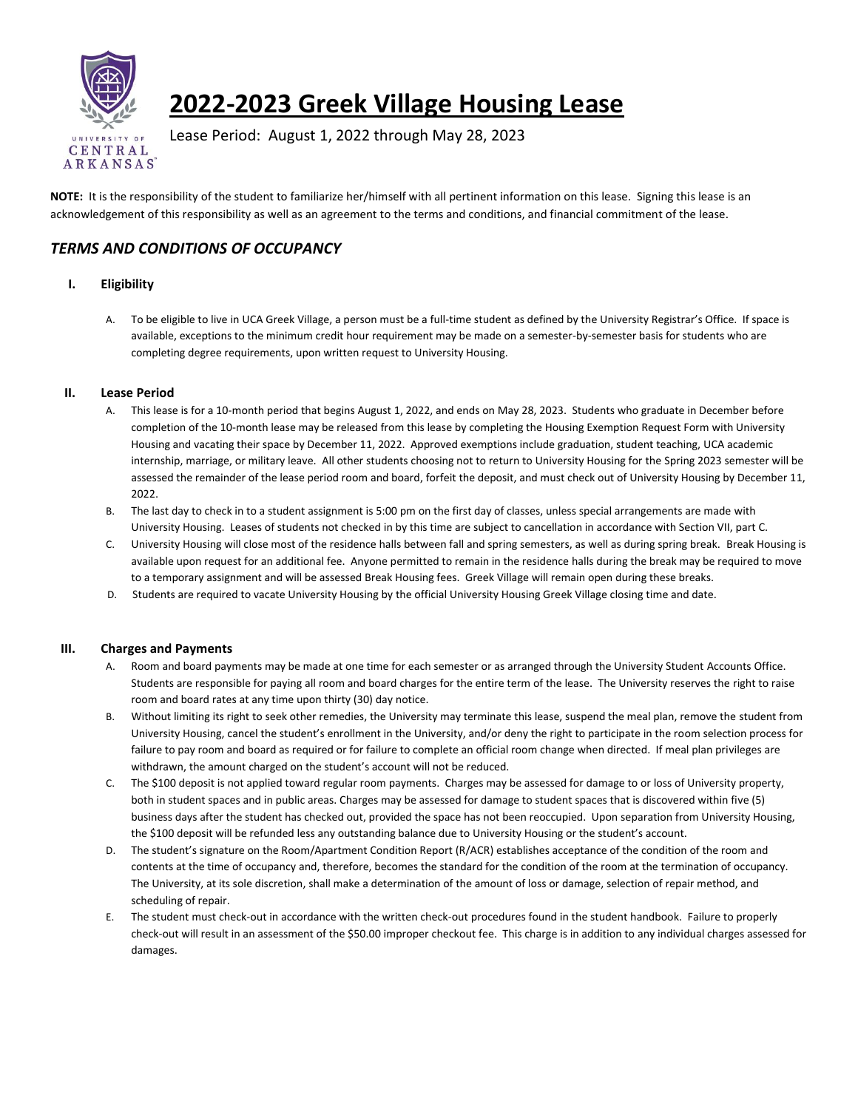

# **2022-2023 Greek Village Housing Lease**

Lease Period: August 1, 2022 through May 28, 2023

**NOTE:** It is the responsibility of the student to familiarize her/himself with all pertinent information on this lease. Signing this lease is an acknowledgement of this responsibility as well as an agreement to the terms and conditions, and financial commitment of the lease.

## *TERMS AND CONDITIONS OF OCCUPANCY*

### **I. Eligibility**

A. To be eligible to live in UCA Greek Village, a person must be a full-time student as defined by the University Registrar's Office. If space is available, exceptions to the minimum credit hour requirement may be made on a semester-by-semester basis for students who are completing degree requirements, upon written request to University Housing.

#### **II. Lease Period**

- A. This lease is for a 10-month period that begins August 1, 2022, and ends on May 28, 2023. Students who graduate in December before completion of the 10-month lease may be released from this lease by completing the Housing Exemption Request Form with University Housing and vacating their space by December 11, 2022. Approved exemptions include graduation, student teaching, UCA academic internship, marriage, or military leave. All other students choosing not to return to University Housing for the Spring 2023 semester will be assessed the remainder of the lease period room and board, forfeit the deposit, and must check out of University Housing by December 11, 2022.
- B. The last day to check in to a student assignment is 5:00 pm on the first day of classes, unless special arrangements are made with University Housing. Leases of students not checked in by this time are subject to cancellation in accordance with Section VII, part C.
- C. University Housing will close most of the residence halls between fall and spring semesters, as well as during spring break. Break Housing is available upon request for an additional fee. Anyone permitted to remain in the residence halls during the break may be required to move to a temporary assignment and will be assessed Break Housing fees. Greek Village will remain open during these breaks.
- D. Students are required to vacate University Housing by the official University Housing Greek Village closing time and date.

#### **III. Charges and Payments**

- A. Room and board payments may be made at one time for each semester or as arranged through the University Student Accounts Office. Students are responsible for paying all room and board charges for the entire term of the lease. The University reserves the right to raise room and board rates at any time upon thirty (30) day notice.
- B. Without limiting its right to seek other remedies, the University may terminate this lease, suspend the meal plan, remove the student from University Housing, cancel the student's enrollment in the University, and/or deny the right to participate in the room selection process for failure to pay room and board as required or for failure to complete an official room change when directed. If meal plan privileges are withdrawn, the amount charged on the student's account will not be reduced.
- C. The \$100 deposit is not applied toward regular room payments. Charges may be assessed for damage to or loss of University property, both in student spaces and in public areas. Charges may be assessed for damage to student spaces that is discovered within five (5) business days after the student has checked out, provided the space has not been reoccupied. Upon separation from University Housing, the \$100 deposit will be refunded less any outstanding balance due to University Housing or the student's account.
- D. The student's signature on the Room/Apartment Condition Report (R/ACR) establishes acceptance of the condition of the room and contents at the time of occupancy and, therefore, becomes the standard for the condition of the room at the termination of occupancy. The University, at its sole discretion, shall make a determination of the amount of loss or damage, selection of repair method, and scheduling of repair.
- E. The student must check-out in accordance with the written check-out procedures found in the student handbook. Failure to properly check-out will result in an assessment of the \$50.00 improper checkout fee. This charge is in addition to any individual charges assessed for damages.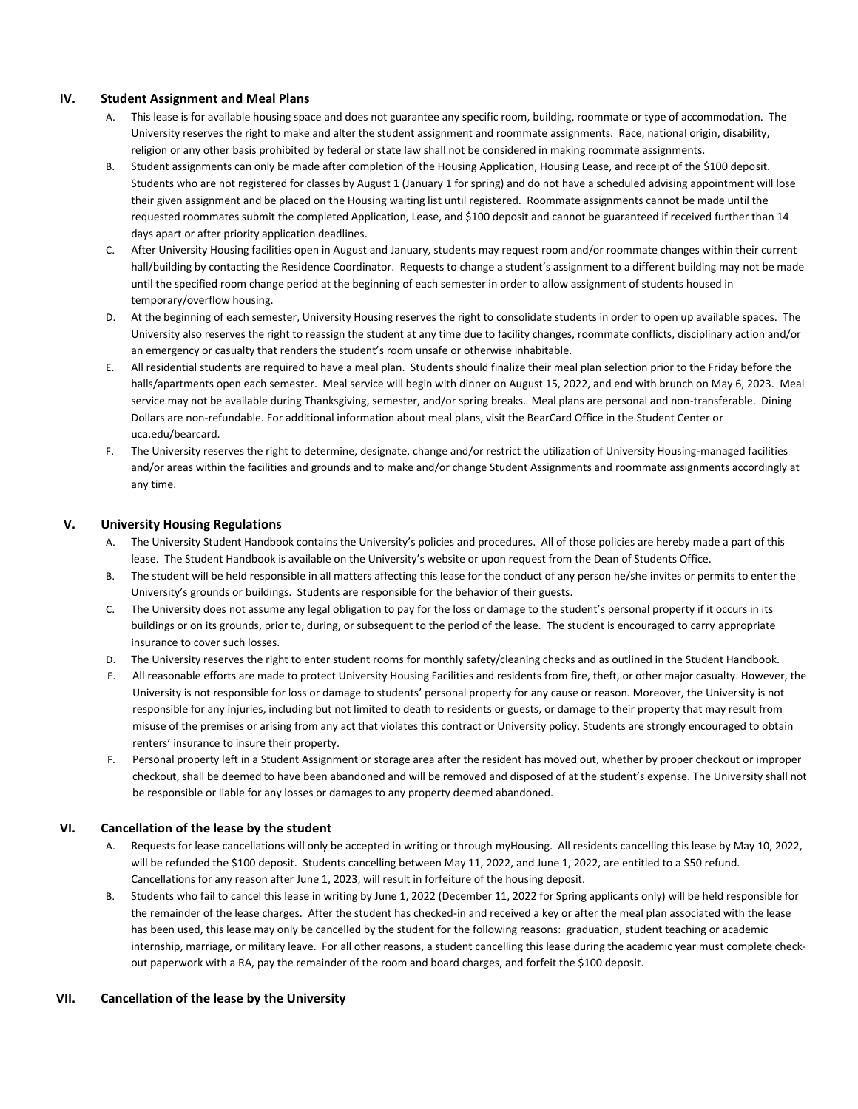#### **IV. Student Assignment and Meal Plans**

- A. This lease is for available housing space and does not guarantee any specific room, building, roommate or type of accommodation. The University reserves the right to make and alter the student assignment and roommate assignments. Race, national origin, disability, religion or any other basis prohibited by federal or state law shall not be considered in making roommate assignments.
- B. Student assignments can only be made after completion of the Housing Application, Housing Lease, and receipt of the \$100 deposit. Students who are not registered for classes by August 1 (January 1 for spring) and do not have a scheduled advising appointment will lose their given assignment and be placed on the Housing waiting list until registered. Roommate assignments cannot be made until the requested roommates submit the completed Application, Lease, and \$100 deposit and cannot be guaranteed if received further than 14 days apart or after priority application deadlines.
- C. After University Housing facilities open in August and January, students may request room and/or roommate changes within their current hall/building by contacting the Residence Coordinator. Requests to change a student's assignment to a different building may not be made until the specified room change period at the beginning of each semester in order to allow assignment of students housed in temporary/overflow housing.
- D. At the beginning of each semester, University Housing reserves the right to consolidate students in order to open up available spaces. The University also reserves the right to reassign the student at any time due to facility changes, roommate conflicts, disciplinary action and/or an emergency or casualty that renders the student's room unsafe or otherwise inhabitable.
- E. All residential students are required to have a meal plan. Students should finalize their meal plan selection prior to the Friday before the halls/apartments open each semester. Meal service will begin with dinner on August 15, 2022, and end with brunch on May 6, 2023. Meal service may not be available during Thanksgiving, semester, and/or spring breaks. Meal plans are personal and non-transferable. Dining Dollars are non-refundable. For additional information about meal plans, visit the BearCard Office in the Student Center or uca.edu/bearcard.
- F. The University reserves the right to determine, designate, change and/or restrict the utilization of University Housing-managed facilities and/or areas within the facilities and grounds and to make and/or change Student Assignments and roommate assignments accordingly at any time.

#### **V. University Housing Regulations**

- A. The University Student Handbook contains the University's policies and procedures. All of those policies are hereby made a part of this lease. The Student Handbook is available on the University's website or upon request from the Dean of Students Office.
- B. The student will be held responsible in all matters affecting this lease for the conduct of any person he/she invites or permits to enter the University's grounds or buildings. Students are responsible for the behavior of their guests.
- C. The University does not assume any legal obligation to pay for the loss or damage to the student's personal property if it occurs in its buildings or on its grounds, prior to, during, or subsequent to the period of the lease. The student is encouraged to carry appropriate insurance to cover such losses.
- D. The University reserves the right to enter student rooms for monthly safety/cleaning checks and as outlined in the Student Handbook.
- E. All reasonable efforts are made to protect University Housing Facilities and residents from fire, theft, or other major casualty. However, the University is not responsible for loss or damage to students' personal property for any cause or reason. Moreover, the University is not responsible for any injuries, including but not limited to death to residents or guests, or damage to their property that may result from misuse of the premises or arising from any act that violates this contract or University policy. Students are strongly encouraged to obtain renters' insurance to insure their property.
- F. Personal property left in a Student Assignment or storage area after the resident has moved out, whether by proper checkout or improper checkout, shall be deemed to have been abandoned and will be removed and disposed of at the student's expense. The University shall not be responsible or liable for any losses or damages to any property deemed abandoned.

#### **VI. Cancellation of the lease by the student**

- A. Requests for lease cancellations will only be accepted in writing or through myHousing. All residents cancelling this lease by May 10, 2022, will be refunded the \$100 deposit. Students cancelling between May 11, 2022, and June 1, 2022, are entitled to a \$50 refund. Cancellations for any reason after June 1, 2023, will result in forfeiture of the housing deposit.
- B. Students who fail to cancel this lease in writing by June 1, 2022 (December 11, 2022 for Spring applicants only) will be held responsible for the remainder of the lease charges. After the student has checked-in and received a key or after the meal plan associated with the lease has been used, this lease may only be cancelled by the student for the following reasons: graduation, student teaching or academic internship, marriage, or military leave. For all other reasons, a student cancelling this lease during the academic year must complete checkout paperwork with a RA, pay the remainder of the room and board charges, and forfeit the \$100 deposit.

#### **VII. Cancellation of the lease by the University**